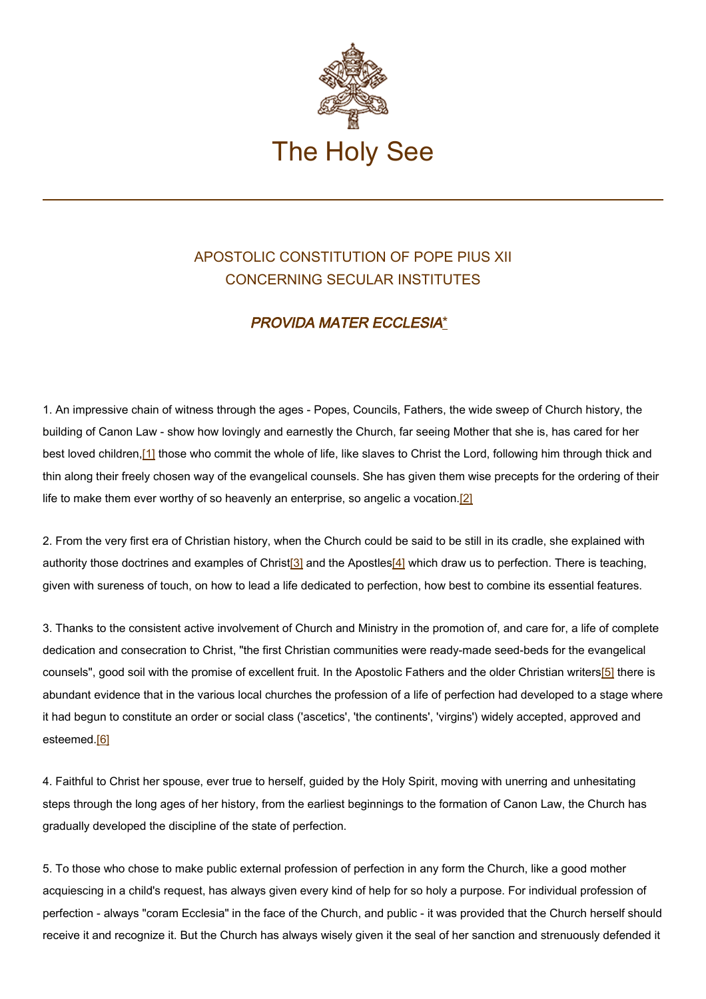

## APOSTOLIC CONSTITUTION OF POPE PIUS XII CONCERNING SECULAR INSTITUTES

## PROVIDA MATER ECCLESIA\*

1. An impressive chain of witness through the ages - Popes, Councils, Fathers, the wide sweep of Church history, the building of Canon Law - show how lovingly and earnestly the Church, far seeing Mother that she is, has cared for her best loved children,[1] those who commit the whole of life, like slaves to Christ the Lord, following him through thick and thin along their freely chosen way of the evangelical counsels. She has given them wise precepts for the ordering of their life to make them ever worthy of so heavenly an enterprise, so angelic a vocation.[2]

2. From the very first era of Christian history, when the Church could be said to be still in its cradle, she explained with authority those doctrines and examples of Christ<sup>[3]</sup> and the Apostles<sup>[4]</sup> which draw us to perfection. There is teaching, given with sureness of touch, on how to lead a life dedicated to perfection, how best to combine its essential features.

3. Thanks to the consistent active involvement of Church and Ministry in the promotion of, and care for, a life of complete dedication and consecration to Christ, "the first Christian communities were ready-made seed-beds for the evangelical counsels", good soil with the promise of excellent fruit. In the Apostolic Fathers and the older Christian writers[5] there is abundant evidence that in the various local churches the profession of a life of perfection had developed to a stage where it had begun to constitute an order or social class ('ascetics', 'the continents', 'virgins') widely accepted, approved and esteemed.[6]

4. Faithful to Christ her spouse, ever true to herself, guided by the Holy Spirit, moving with unerring and unhesitating steps through the long ages of her history, from the earliest beginnings to the formation of Canon Law, the Church has gradually developed the discipline of the state of perfection.

5. To those who chose to make public external profession of perfection in any form the Church, like a good mother acquiescing in a child's request, has always given every kind of help for so holy a purpose. For individual profession of perfection - always "coram Ecclesia" in the face of the Church, and public - it was provided that the Church herself should receive it and recognize it. But the Church has always wisely given it the seal of her sanction and strenuously defended it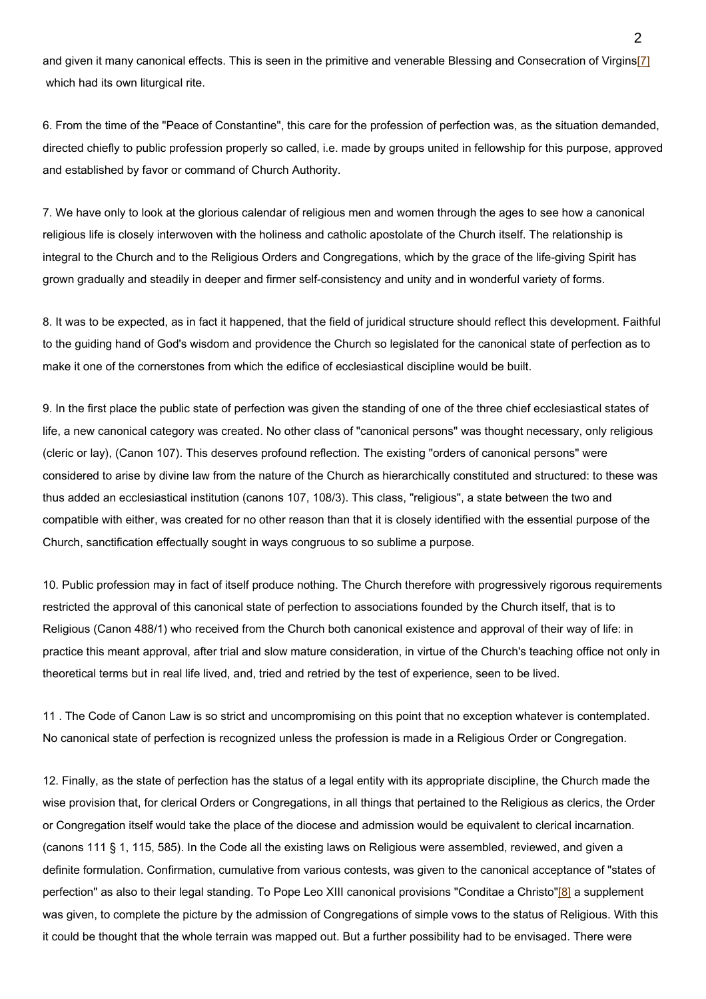and given it many canonical effects. This is seen in the primitive and venerable Blessing and Consecration of Virgins[7] which had its own liturgical rite.

6. From the time of the "Peace of Constantine", this care for the profession of perfection was, as the situation demanded, directed chiefly to public profession properly so called, i.e. made by groups united in fellowship for this purpose, approved and established by favor or command of Church Authority.

7. We have only to look at the glorious calendar of religious men and women through the ages to see how a canonical religious life is closely interwoven with the holiness and catholic apostolate of the Church itself. The relationship is integral to the Church and to the Religious Orders and Congregations, which by the grace of the life-giving Spirit has grown gradually and steadily in deeper and firmer self-consistency and unity and in wonderful variety of forms.

8. It was to be expected, as in fact it happened, that the field of juridical structure should reflect this development. Faithful to the guiding hand of God's wisdom and providence the Church so legislated for the canonical state of perfection as to make it one of the cornerstones from which the edifice of ecclesiastical discipline would be built.

9. In the first place the public state of perfection was given the standing of one of the three chief ecclesiastical states of life, a new canonical category was created. No other class of "canonical persons" was thought necessary, only religious (cleric or lay), (Canon 107). This deserves profound reflection. The existing "orders of canonical persons" were considered to arise by divine law from the nature of the Church as hierarchically constituted and structured: to these was thus added an ecclesiastical institution (canons 107, 108/3). This class, "religious", a state between the two and compatible with either, was created for no other reason than that it is closely identified with the essential purpose of the Church, sanctification effectually sought in ways congruous to so sublime a purpose.

10. Public profession may in fact of itself produce nothing. The Church therefore with progressively rigorous requirements restricted the approval of this canonical state of perfection to associations founded by the Church itself, that is to Religious (Canon 488/1) who received from the Church both canonical existence and approval of their way of life: in practice this meant approval, after trial and slow mature consideration, in virtue of the Church's teaching office not only in theoretical terms but in real life lived, and, tried and retried by the test of experience, seen to be lived.

11 . The Code of Canon Law is so strict and uncompromising on this point that no exception whatever is contemplated. No canonical state of perfection is recognized unless the profession is made in a Religious Order or Congregation.

12. Finally, as the state of perfection has the status of a legal entity with its appropriate discipline, the Church made the wise provision that, for clerical Orders or Congregations, in all things that pertained to the Religious as clerics, the Order or Congregation itself would take the place of the diocese and admission would be equivalent to clerical incarnation. (canons 111 § 1, 115, 585). In the Code all the existing laws on Religious were assembled, reviewed, and given a definite formulation. Confirmation, cumulative from various contests, was given to the canonical acceptance of "states of perfection" as also to their legal standing. To Pope Leo XIII canonical provisions "Conditae a Christo"[8] a supplement was given, to complete the picture by the admission of Congregations of simple vows to the status of Religious. With this it could be thought that the whole terrain was mapped out. But a further possibility had to be envisaged. There were

 $\mathfrak{p}$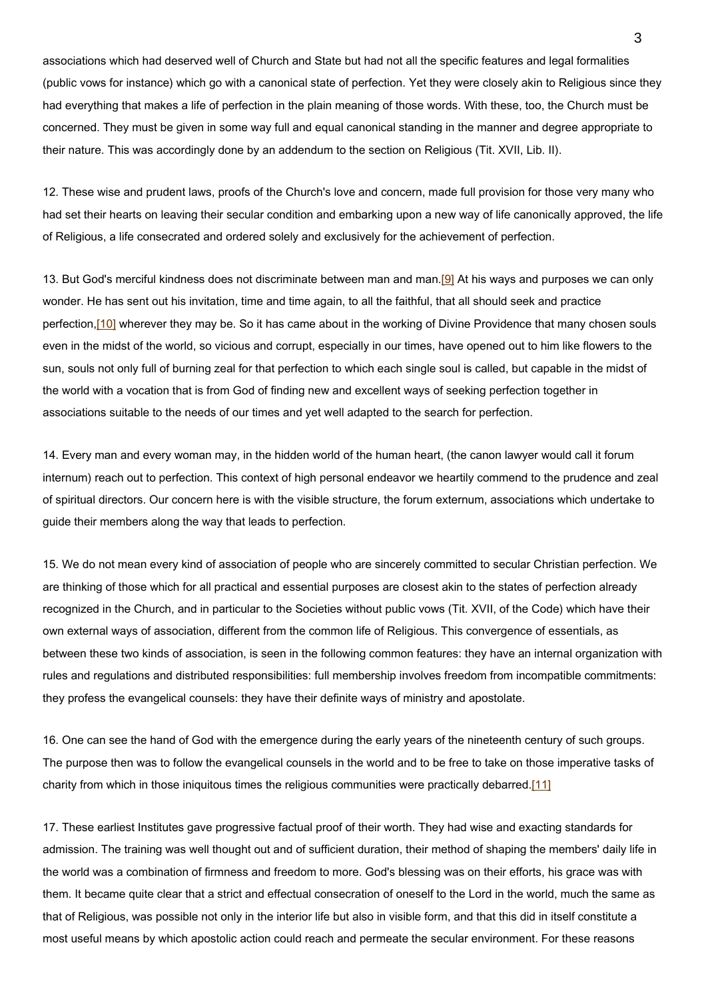associations which had deserved well of Church and State but had not all the specific features and legal formalities (public vows for instance) which go with a canonical state of perfection. Yet they were closely akin to Religious since they had everything that makes a life of perfection in the plain meaning of those words. With these, too, the Church must be concerned. They must be given in some way full and equal canonical standing in the manner and degree appropriate to their nature. This was accordingly done by an addendum to the section on Religious (Tit. XVII, Lib. II).

12. These wise and prudent laws, proofs of the Church's love and concern, made full provision for those very many who had set their hearts on leaving their secular condition and embarking upon a new way of life canonically approved, the life of Religious, a life consecrated and ordered solely and exclusively for the achievement of perfection.

13. But God's merciful kindness does not discriminate between man and man.[9] At his ways and purposes we can only wonder. He has sent out his invitation, time and time again, to all the faithful, that all should seek and practice perfection,<sup>[10]</sup> wherever they may be. So it has came about in the working of Divine Providence that many chosen souls even in the midst of the world, so vicious and corrupt, especially in our times, have opened out to him like flowers to the sun, souls not only full of burning zeal for that perfection to which each single soul is called, but capable in the midst of the world with a vocation that is from God of finding new and excellent ways of seeking perfection together in associations suitable to the needs of our times and yet well adapted to the search for perfection.

14. Every man and every woman may, in the hidden world of the human heart, (the canon lawyer would call it forum internum) reach out to perfection. This context of high personal endeavor we heartily commend to the prudence and zeal of spiritual directors. Our concern here is with the visible structure, the forum externum, associations which undertake to guide their members along the way that leads to perfection.

15. We do not mean every kind of association of people who are sincerely committed to secular Christian perfection. We are thinking of those which for all practical and essential purposes are closest akin to the states of perfection already recognized in the Church, and in particular to the Societies without public vows (Tit. XVII, of the Code) which have their own external ways of association, different from the common life of Religious. This convergence of essentials, as between these two kinds of association, is seen in the following common features: they have an internal organization with rules and regulations and distributed responsibilities: full membership involves freedom from incompatible commitments: they profess the evangelical counsels: they have their definite ways of ministry and apostolate.

16. One can see the hand of God with the emergence during the early years of the nineteenth century of such groups. The purpose then was to follow the evangelical counsels in the world and to be free to take on those imperative tasks of charity from which in those iniquitous times the religious communities were practically debarred.[11]

17. These earliest Institutes gave progressive factual proof of their worth. They had wise and exacting standards for admission. The training was well thought out and of sufficient duration, their method of shaping the members' daily life in the world was a combination of firmness and freedom to more. God's blessing was on their efforts, his grace was with them. It became quite clear that a strict and effectual consecration of oneself to the Lord in the world, much the same as that of Religious, was possible not only in the interior life but also in visible form, and that this did in itself constitute a most useful means by which apostolic action could reach and permeate the secular environment. For these reasons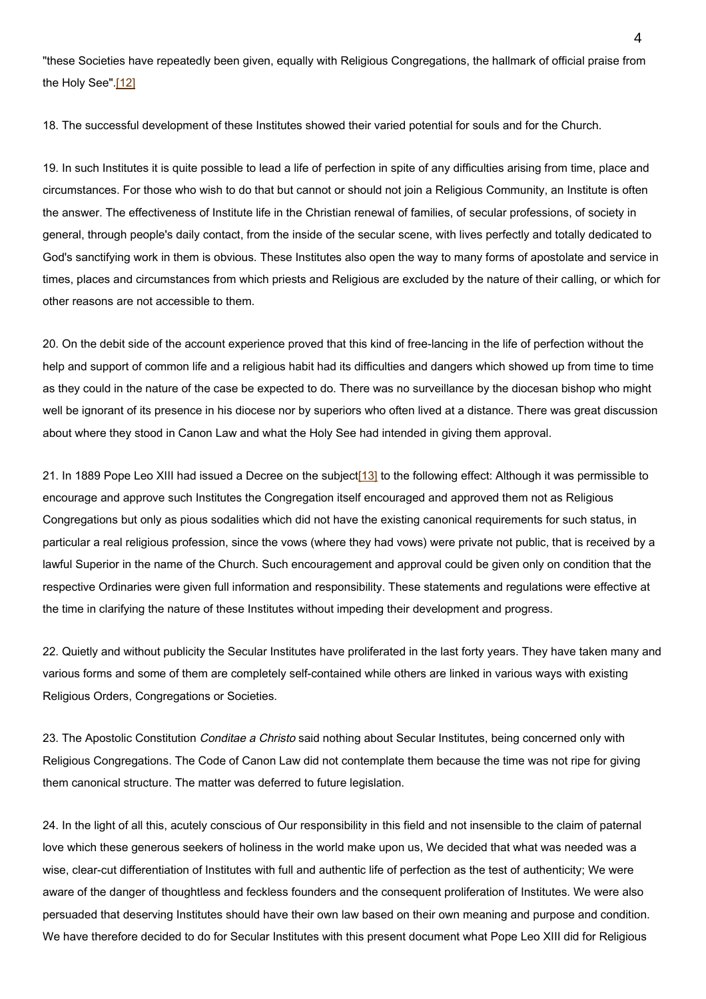"these Societies have repeatedly been given, equally with Religious Congregations, the hallmark of official praise from the Holy See".[12]

18. The successful development of these Institutes showed their varied potential for souls and for the Church.

19. In such Institutes it is quite possible to lead a life of perfection in spite of any difficulties arising from time, place and circumstances. For those who wish to do that but cannot or should not join a Religious Community, an Institute is often the answer. The effectiveness of Institute life in the Christian renewal of families, of secular professions, of society in general, through people's daily contact, from the inside of the secular scene, with lives perfectly and totally dedicated to God's sanctifying work in them is obvious. These Institutes also open the way to many forms of apostolate and service in times, places and circumstances from which priests and Religious are excluded by the nature of their calling, or which for other reasons are not accessible to them.

20. On the debit side of the account experience proved that this kind of free-lancing in the life of perfection without the help and support of common life and a religious habit had its difficulties and dangers which showed up from time to time as they could in the nature of the case be expected to do. There was no surveillance by the diocesan bishop who might well be ignorant of its presence in his diocese nor by superiors who often lived at a distance. There was great discussion about where they stood in Canon Law and what the Holy See had intended in giving them approval.

21. In 1889 Pope Leo XIII had issued a Decree on the subject[13] to the following effect: Although it was permissible to encourage and approve such Institutes the Congregation itself encouraged and approved them not as Religious Congregations but only as pious sodalities which did not have the existing canonical requirements for such status, in particular a real religious profession, since the vows (where they had vows) were private not public, that is received by a lawful Superior in the name of the Church. Such encouragement and approval could be given only on condition that the respective Ordinaries were given full information and responsibility. These statements and regulations were effective at the time in clarifying the nature of these Institutes without impeding their development and progress.

22. Quietly and without publicity the Secular Institutes have proliferated in the last forty years. They have taken many and various forms and some of them are completely self-contained while others are linked in various ways with existing Religious Orders, Congregations or Societies.

23. The Apostolic Constitution *Conditae a Christo* said nothing about Secular Institutes, being concerned only with Religious Congregations. The Code of Canon Law did not contemplate them because the time was not ripe for giving them canonical structure. The matter was deferred to future legislation.

24. In the light of all this, acutely conscious of Our responsibility in this field and not insensible to the claim of paternal love which these generous seekers of holiness in the world make upon us, We decided that what was needed was a wise, clear-cut differentiation of Institutes with full and authentic life of perfection as the test of authenticity; We were aware of the danger of thoughtless and feckless founders and the consequent proliferation of Institutes. We were also persuaded that deserving Institutes should have their own law based on their own meaning and purpose and condition. We have therefore decided to do for Secular Institutes with this present document what Pope Leo XIII did for Religious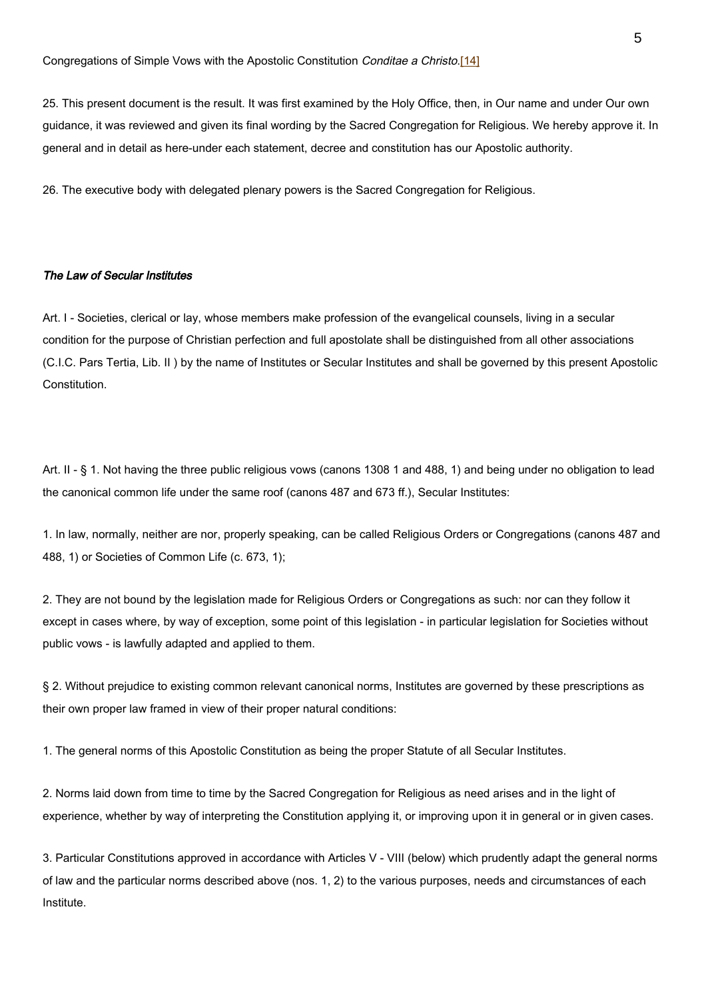25. This present document is the result. It was first examined by the Holy Office, then, in Our name and under Our own guidance, it was reviewed and given its final wording by the Sacred Congregation for Religious. We hereby approve it. In general and in detail as here-under each statement, decree and constitution has our Apostolic authority.

26. The executive body with delegated plenary powers is the Sacred Congregation for Religious.

## The Law of Secular Institutes

Art. I - Societies, clerical or lay, whose members make profession of the evangelical counsels, living in a secular condition for the purpose of Christian perfection and full apostolate shall be distinguished from all other associations (C.I.C. Pars Tertia, Lib. II ) by the name of Institutes or Secular Institutes and shall be governed by this present Apostolic Constitution.

Art. II - § 1. Not having the three public religious vows (canons 1308 1 and 488, 1) and being under no obligation to lead the canonical common life under the same roof (canons 487 and 673 ff.), Secular Institutes:

1. In law, normally, neither are nor, properly speaking, can be called Religious Orders or Congregations (canons 487 and 488, 1) or Societies of Common Life (c. 673, 1);

2. They are not bound by the legislation made for Religious Orders or Congregations as such: nor can they follow it except in cases where, by way of exception, some point of this legislation - in particular legislation for Societies without public vows - is lawfully adapted and applied to them.

§ 2. Without prejudice to existing common relevant canonical norms, Institutes are governed by these prescriptions as their own proper law framed in view of their proper natural conditions:

1. The general norms of this Apostolic Constitution as being the proper Statute of all Secular Institutes.

2. Norms laid down from time to time by the Sacred Congregation for Religious as need arises and in the light of experience, whether by way of interpreting the Constitution applying it, or improving upon it in general or in given cases.

3. Particular Constitutions approved in accordance with Articles V - VIII (below) which prudently adapt the general norms of law and the particular norms described above (nos. 1, 2) to the various purposes, needs and circumstances of each Institute.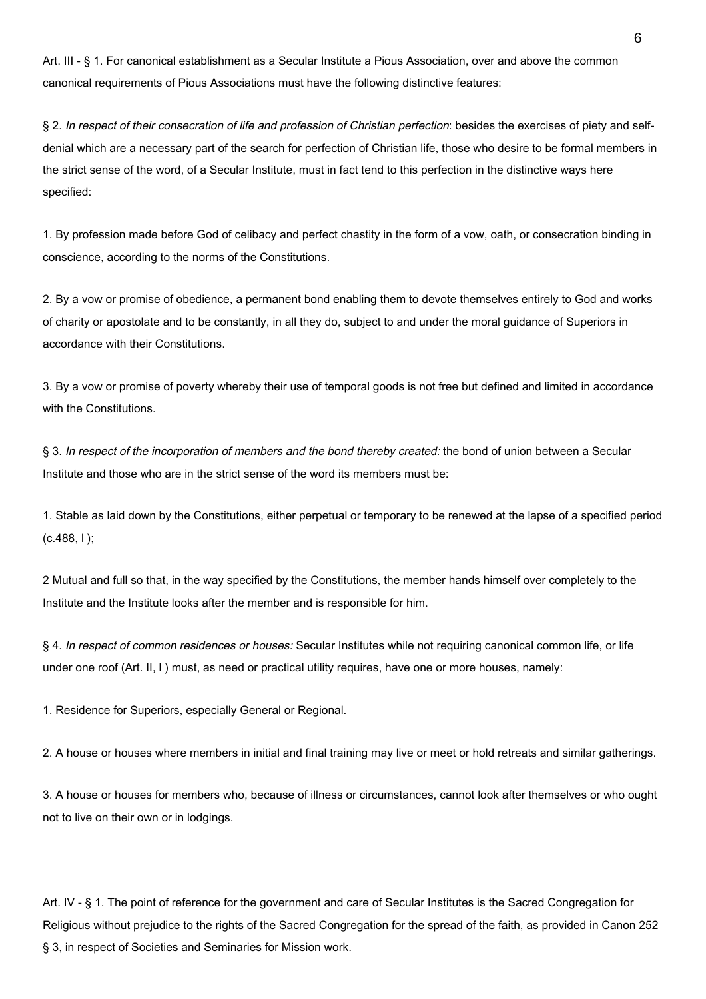Art. III - § 1. For canonical establishment as a Secular Institute a Pious Association, over and above the common canonical requirements of Pious Associations must have the following distinctive features:

§ 2. In respect of their consecration of life and profession of Christian perfection: besides the exercises of piety and selfdenial which are a necessary part of the search for perfection of Christian life, those who desire to be formal members in the strict sense of the word, of a Secular Institute, must in fact tend to this perfection in the distinctive ways here specified:

1. By profession made before God of celibacy and perfect chastity in the form of a vow, oath, or consecration binding in conscience, according to the norms of the Constitutions.

2. By a vow or promise of obedience, a permanent bond enabling them to devote themselves entirely to God and works of charity or apostolate and to be constantly, in all they do, subject to and under the moral guidance of Superiors in accordance with their Constitutions.

3. By a vow or promise of poverty whereby their use of temporal goods is not free but defined and limited in accordance with the Constitutions.

§ 3. In respect of the incorporation of members and the bond thereby created: the bond of union between a Secular Institute and those who are in the strict sense of the word its members must be:

1. Stable as laid down by the Constitutions, either perpetual or temporary to be renewed at the lapse of a specified period  $(c.488, 1);$ 

2 Mutual and full so that, in the way specified by the Constitutions, the member hands himself over completely to the Institute and the Institute looks after the member and is responsible for him.

§ 4. In respect of common residences or houses: Secular Institutes while not requiring canonical common life, or life under one roof (Art. II, I ) must, as need or practical utility requires, have one or more houses, namely:

1. Residence for Superiors, especially General or Regional.

2. A house or houses where members in initial and final training may live or meet or hold retreats and similar gatherings.

3. A house or houses for members who, because of illness or circumstances, cannot look after themselves or who ought not to live on their own or in lodgings.

Art. IV - § 1. The point of reference for the government and care of Secular Institutes is the Sacred Congregation for Religious without prejudice to the rights of the Sacred Congregation for the spread of the faith, as provided in Canon 252 § 3, in respect of Societies and Seminaries for Mission work.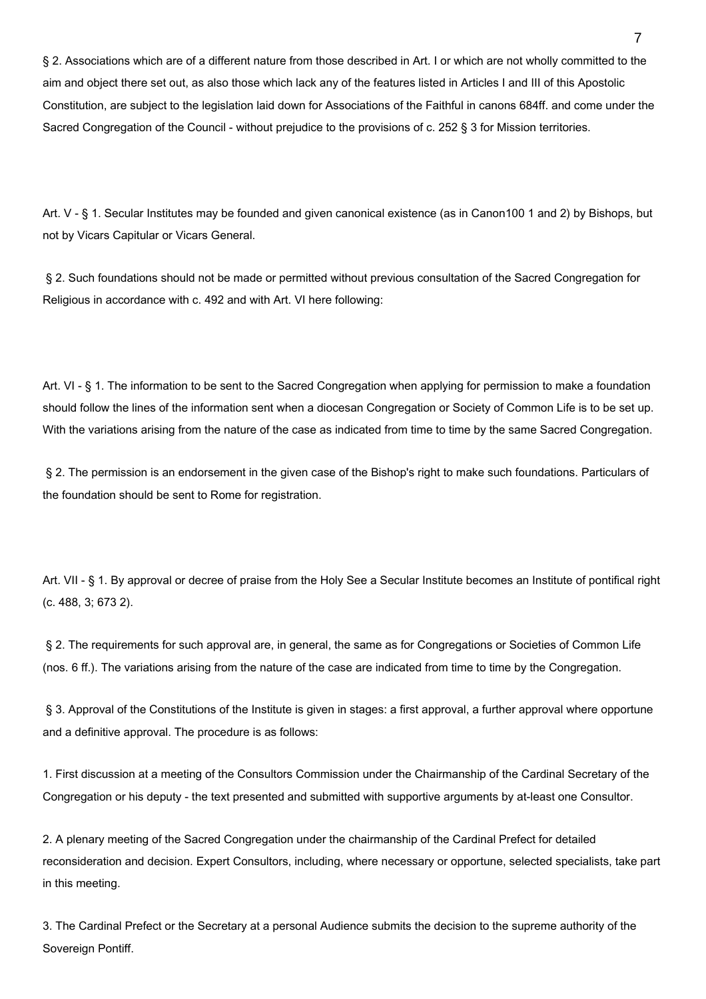§ 2. Associations which are of a different nature from those described in Art. I or which are not wholly committed to the aim and object there set out, as also those which lack any of the features listed in Articles I and III of this Apostolic Constitution, are subject to the legislation laid down for Associations of the Faithful in canons 684ff. and come under the Sacred Congregation of the Council - without prejudice to the provisions of c. 252 § 3 for Mission territories.

Art. V - § 1. Secular Institutes may be founded and given canonical existence (as in Canon100 1 and 2) by Bishops, but not by Vicars Capitular or Vicars General.

 § 2. Such foundations should not be made or permitted without previous consultation of the Sacred Congregation for Religious in accordance with c. 492 and with Art. VI here following:

Art. VI - § 1. The information to be sent to the Sacred Congregation when applying for permission to make a foundation should follow the lines of the information sent when a diocesan Congregation or Society of Common Life is to be set up. With the variations arising from the nature of the case as indicated from time to time by the same Sacred Congregation.

 § 2. The permission is an endorsement in the given case of the Bishop's right to make such foundations. Particulars of the foundation should be sent to Rome for registration.

Art. VII - § 1. By approval or decree of praise from the Holy See a Secular Institute becomes an Institute of pontifical right (c. 488, 3; 673 2).

 § 2. The requirements for such approval are, in general, the same as for Congregations or Societies of Common Life (nos. 6 ff.). The variations arising from the nature of the case are indicated from time to time by the Congregation.

§ 3. Approval of the Constitutions of the Institute is given in stages: a first approval, a further approval where opportune and a definitive approval. The procedure is as follows:

1. First discussion at a meeting of the Consultors Commission under the Chairmanship of the Cardinal Secretary of the Congregation or his deputy - the text presented and submitted with supportive arguments by at-least one Consultor.

2. A plenary meeting of the Sacred Congregation under the chairmanship of the Cardinal Prefect for detailed reconsideration and decision. Expert Consultors, including, where necessary or opportune, selected specialists, take part in this meeting.

3. The Cardinal Prefect or the Secretary at a personal Audience submits the decision to the supreme authority of the Sovereign Pontiff.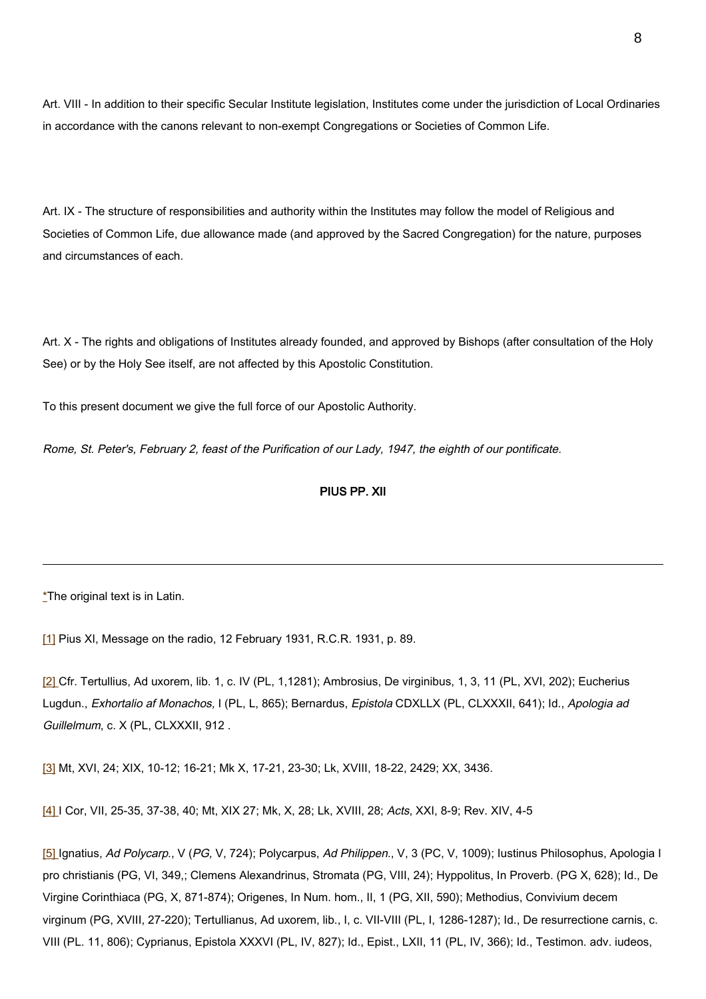Art. VIII - In addition to their specific Secular Institute legislation, Institutes come under the jurisdiction of Local Ordinaries in accordance with the canons relevant to non-exempt Congregations or Societies of Common Life.

Art. IX - The structure of responsibilities and authority within the Institutes may follow the model of Religious and Societies of Common Life, due allowance made (and approved by the Sacred Congregation) for the nature, purposes and circumstances of each.

Art. X - The rights and obligations of Institutes already founded, and approved by Bishops (after consultation of the Holy See) or by the Holy See itself, are not affected by this Apostolic Constitution.

To this present document we give the full force of our Apostolic Authority.

Rome, St. Peter's, February 2, feast of the Purification of our Lady, 1947, the eighth of our pontificate.

## PIUS PP. XII

\*The original text is in Latin.

[1] Pius XI, Message on the radio, 12 February 1931, R.C.R. 1931, p. 89.

[2] Cfr. Tertullius, Ad uxorem, lib. 1, c. IV (PL, 1,1281); Ambrosius, De virginibus, 1, 3, 11 (PL, XVI, 202); Eucherius Lugdun., Exhortalio af Monachos, I (PL, L, 865); Bernardus, Epistola CDXLLX (PL, CLXXXII, 641); Id., Apologia ad Guillelmum, c. X (PL, CLXXXII, 912,

[3] Mt, XVI, 24; XIX, 10-12; 16-21; Mk X, 17-21, 23-30; Lk, XVIII, 18-22, 2429; XX, 3436.

[4] I Cor, VII, 25-35, 37-38, 40; Mt, XIX 27; Mk, X, 28; Lk, XVIII, 28; Acts, XXI, 8-9; Rev. XIV, 4-5

[5] Ignatius, Ad Polycarp., V (PG, V, 724); Polycarpus, Ad Philippen., V, 3 (PC, V, 1009); Iustinus Philosophus, Apologia I pro christianis (PG, VI, 349,; Clemens Alexandrinus, Stromata (PG, VIII, 24); Hyppolitus, In Proverb. (PG X, 628); Id., De Virgine Corinthiaca (PG, X, 871-874); Origenes, In Num. hom., II, 1 (PG, XII, 590); Methodius, Convivium decem virginum (PG, XVIII, 27-220); Tertullianus, Ad uxorem, lib., I, c. VII-VIII (PL, I, 1286-1287); Id., De resurrectione carnis, c. VIII (PL. 11, 806); Cyprianus, Epistola XXXVI (PL, IV, 827); Id., Epist., LXII, 11 (PL, IV, 366); Id., Testimon. adv. iudeos,